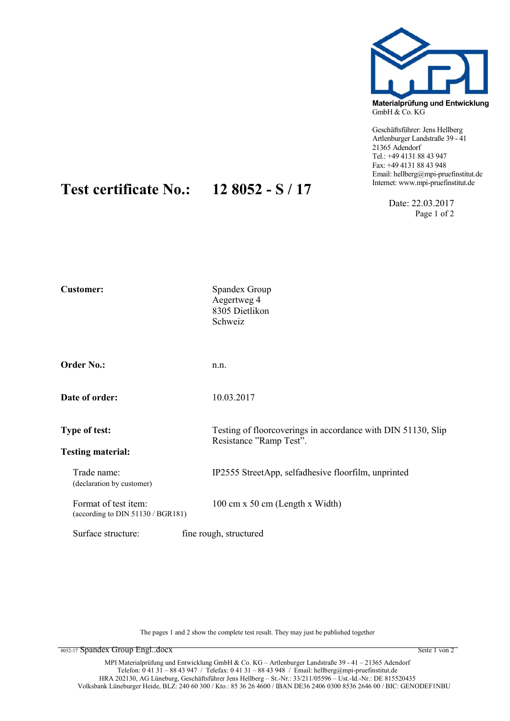

Materialprüfung und Entwicklung GmbH & Co. KG

Geschäftsführer: Jens Hellberg Artlenburger Landstraße 39 - 41 21365 Adendorf Tel.: +49 4131 88 43 947 Fax: +49 4131 88 43 948 Email: hellberg@mpi-pruefinstitut.de

> Date: 22.03.2017 Page 1 of 2

## Customer: Spandex Group Aegertweg 4 8305 Dietlikon Schweiz Order No.: n.n. **Date of order:** 10.03.2017 Type of test: Testing of floorcoverings in accordance with DIN 51130, Slip Resistance "Ramp Test". Testing material: Trade name: IP2555 StreetApp, selfadhesive floorfilm, unprinted (declaration by customer) Format of test item: 100 cm x 50 cm (Length x Width) (according to DIN 51130 / BGR181) Surface structure: fine rough, structured

Test certificate No.:  $128052 - S / 17$ 

The pages 1 and 2 show the complete test result. They may just be published together

8052-17 Spandex Group Engl..docx Seite 1 von 2 Seite 1 von 2 Seite 1 von 2 Seite 1 von 2 Seite 1 von 2 Seite 1 von 2